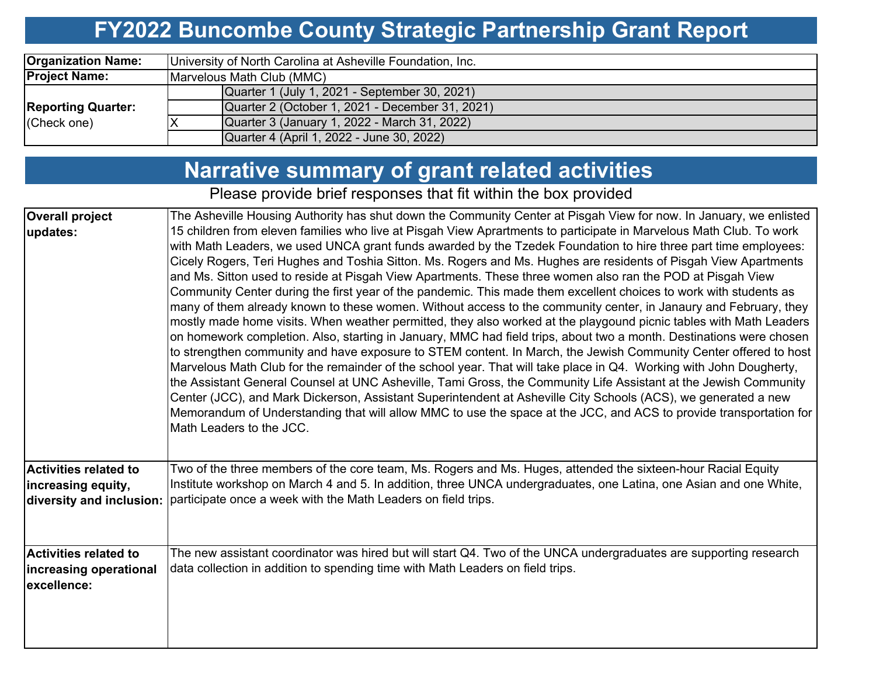# **FY2022 Buncombe County Strategic Partnership Grant Report**

| <b>Organization Name:</b> | University of North Carolina at Asheville Foundation, Inc. |  |  |  |  |  |  |
|---------------------------|------------------------------------------------------------|--|--|--|--|--|--|
| <b>Project Name:</b>      | Marvelous Math Club (MMC)                                  |  |  |  |  |  |  |
|                           | Quarter 1 (July 1, 2021 - September 30, 2021)              |  |  |  |  |  |  |
| <b>Reporting Quarter:</b> | Quarter 2 (October 1, 2021 - December 31, 2021)            |  |  |  |  |  |  |
| (Check one)               | Quarter 3 (January 1, 2022 - March 31, 2022)               |  |  |  |  |  |  |
|                           | Quarter 4 (April 1, 2022 - June 30, 2022)                  |  |  |  |  |  |  |

## **Narrative summary of grant related activities**

Please provide brief responses that fit within the box provided

| <b>Overall project</b>       | The Asheville Housing Authority has shut down the Community Center at Pisgah View for now. In January, we enlisted  |
|------------------------------|---------------------------------------------------------------------------------------------------------------------|
| updates:                     | 15 children from eleven families who live at Pisgah View Aprartments to participate in Marvelous Math Club. To work |
|                              | with Math Leaders, we used UNCA grant funds awarded by the Tzedek Foundation to hire three part time employees:     |
|                              | Cicely Rogers, Teri Hughes and Toshia Sitton. Ms. Rogers and Ms. Hughes are residents of Pisgah View Apartments     |
|                              | and Ms. Sitton used to reside at Pisgah View Apartments. These three women also ran the POD at Pisgah View          |
|                              | Community Center during the first year of the pandemic. This made them excellent choices to work with students as   |
|                              | many of them already known to these women. Without access to the community center, in Janaury and February, they    |
|                              | mostly made home visits. When weather permitted, they also worked at the playgound picnic tables with Math Leaders  |
|                              | on homework completion. Also, starting in January, MMC had field trips, about two a month. Destinations were chosen |
|                              | to strengthen community and have exposure to STEM content. In March, the Jewish Community Center offered to host    |
|                              | Marvelous Math Club for the remainder of the school year. That will take place in Q4. Working with John Dougherty,  |
|                              | the Assistant General Counsel at UNC Asheville, Tami Gross, the Community Life Assistant at the Jewish Community    |
|                              | Center (JCC), and Mark Dickerson, Assistant Superintendent at Asheville City Schools (ACS), we generated a new      |
|                              | Memorandum of Understanding that will allow MMC to use the space at the JCC, and ACS to provide transportation for  |
|                              | Math Leaders to the JCC.                                                                                            |
|                              |                                                                                                                     |
| <b>Activities related to</b> | Two of the three members of the core team, Ms. Rogers and Ms. Huges, attended the sixteen-hour Racial Equity        |
| increasing equity,           | Institute workshop on March 4 and 5. In addition, three UNCA undergraduates, one Latina, one Asian and one White,   |
| diversity and inclusion:     | participate once a week with the Math Leaders on field trips.                                                       |
|                              |                                                                                                                     |
|                              |                                                                                                                     |
| Activities related to        | The new assistant coordinator was hired but will start Q4. Two of the UNCA undergraduates are supporting research   |
| increasing operational       | data collection in addition to spending time with Math Leaders on field trips.                                      |
| excellence:                  |                                                                                                                     |
|                              |                                                                                                                     |
|                              |                                                                                                                     |
|                              |                                                                                                                     |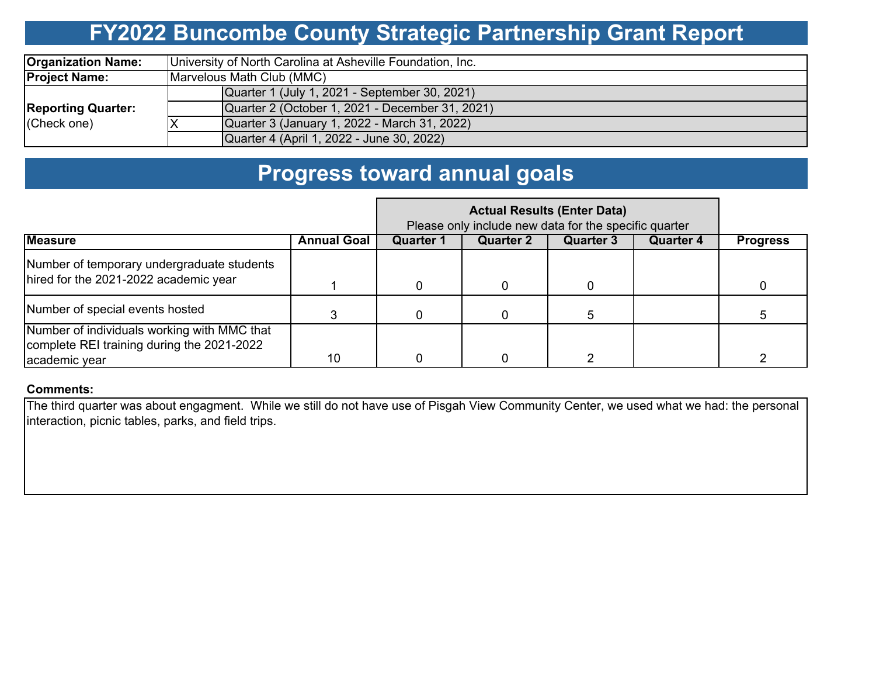## **FY2022 Buncombe County Strategic Partnership Grant Report**

| <b>Organization Name:</b>                | University of North Carolina at Asheville Foundation, Inc. |  |  |  |  |  |  |  |
|------------------------------------------|------------------------------------------------------------|--|--|--|--|--|--|--|
| <b>Project Name:</b>                     | Marvelous Math Club (MMC)                                  |  |  |  |  |  |  |  |
| <b>Reporting Quarter:</b><br>(Check one) | Quarter 1 (July 1, 2021 - September 30, 2021)              |  |  |  |  |  |  |  |
|                                          | Quarter 2 (October 1, 2021 - December 31, 2021)            |  |  |  |  |  |  |  |
|                                          | Quarter 3 (January 1, 2022 - March 31, 2022)               |  |  |  |  |  |  |  |
|                                          | Quarter 4 (April 1, 2022 - June 30, 2022)                  |  |  |  |  |  |  |  |

### **Progress toward annual goals**

|                                                                                           | Please only include new data for the specific quarter |                  |                  |                  |                  |                 |
|-------------------------------------------------------------------------------------------|-------------------------------------------------------|------------------|------------------|------------------|------------------|-----------------|
| <b>Measure</b>                                                                            | <b>Annual Goal</b>                                    | <b>Quarter 1</b> | <b>Quarter 2</b> | <b>Quarter 3</b> | <b>Quarter 4</b> | <b>Progress</b> |
| Number of temporary undergraduate students                                                |                                                       |                  |                  |                  |                  |                 |
| hired for the 2021-2022 academic year                                                     |                                                       |                  |                  |                  |                  |                 |
| Number of special events hosted                                                           |                                                       |                  |                  |                  |                  |                 |
| Number of individuals working with MMC that<br>complete REI training during the 2021-2022 |                                                       |                  |                  |                  |                  |                 |
| academic year                                                                             | 10                                                    |                  |                  |                  |                  |                 |

#### **Comments:**

The third quarter was about engagment. While we still do not have use of Pisgah View Community Center, we used what we had: the personal interaction, picnic tables, parks, and field trips.